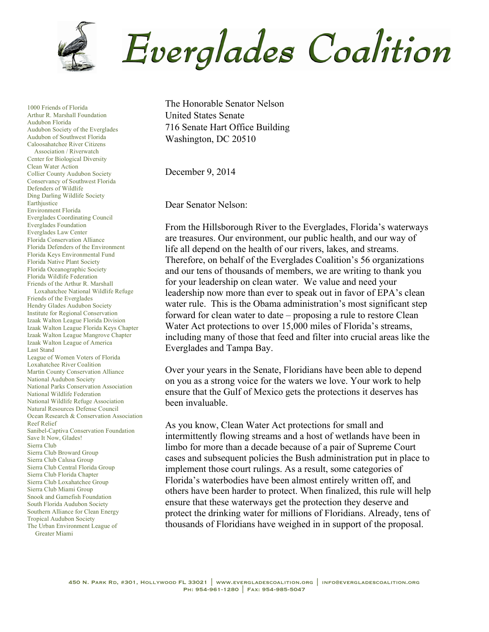

1000 Friends of Florida Arthur R. Marshall Foundation Audubon Florida Audubon Society of the Everglades Audubon of Southwest Florida Caloosahatchee River Citizens Association / Riverwatch Center for Biological Diversity Clean Water Action Collier County Audubon Society Conservancy of Southwest Florida Defenders of Wildlife Ding Darling Wildlife Society Earthiustice Environment Florida Everglades Coordinating Council Everglades Foundation Everglades Law Center Florida Conservation Alliance Florida Defenders of the Environment Florida Keys Environmental Fund Florida Native Plant Society Florida Oceanographic Society Florida Wildlife Federation Friends of the Arthur R. Marshall Loxahatchee National Wildlife Refuge Friends of the Everglades Hendry Glades Audubon Society Institute for Regional Conservation Izaak Walton League Florida Division Izaak Walton League Florida Keys Chapter Izaak Walton League Mangrove Chapter Izaak Walton League of America Last Stand League of Women Voters of Florida Loxahatchee River Coalition Martin County Conservation Alliance National Audubon Society National Parks Conservation Association National Wildlife Federation National Wildlife Refuge Association Natural Resources Defense Council Ocean Research & Conservation Association Reef Relief Sanibel-Captiva Conservation Foundation Save It Now, Glades! Sierra Club Sierra Club Broward Group Sierra Club Calusa Group Sierra Club Central Florida Group Sierra Club Florida Chapter Sierra Club Loxahatchee Group Sierra Club Miami Group Snook and Gamefish Foundation South Florida Audubon Society Southern Alliance for Clean Energy Tropical Audubon Society The Urban Environment League of Greater Miami

The Honorable Senator Nelson United States Senate 716 Senate Hart Office Building Washington, DC 20510

December 9, 2014

Dear Senator Nelson:

From the Hillsborough River to the Everglades, Florida's waterways are treasures. Our environment, our public health, and our way of life all depend on the health of our rivers, lakes, and streams. Therefore, on behalf of the Everglades Coalition's 56 organizations and our tens of thousands of members, we are writing to thank you for your leadership on clean water. We value and need your leadership now more than ever to speak out in favor of EPA's clean water rule. This is the Obama administration's most significant step forward for clean water to date – proposing a rule to restore Clean Water Act protections to over 15,000 miles of Florida's streams, including many of those that feed and filter into crucial areas like the Everglades and Tampa Bay.

Over your years in the Senate, Floridians have been able to depend on you as a strong voice for the waters we love. Your work to help ensure that the Gulf of Mexico gets the protections it deserves has been invaluable.

As you know, Clean Water Act protections for small and intermittently flowing streams and a host of wetlands have been in limbo for more than a decade because of a pair of Supreme Court cases and subsequent policies the Bush administration put in place to implement those court rulings. As a result, some categories of Florida's waterbodies have been almost entirely written off, and others have been harder to protect. When finalized, this rule will help ensure that these waterways get the protection they deserve and protect the drinking water for millions of Floridians. Already, tens of thousands of Floridians have weighed in in support of the proposal.